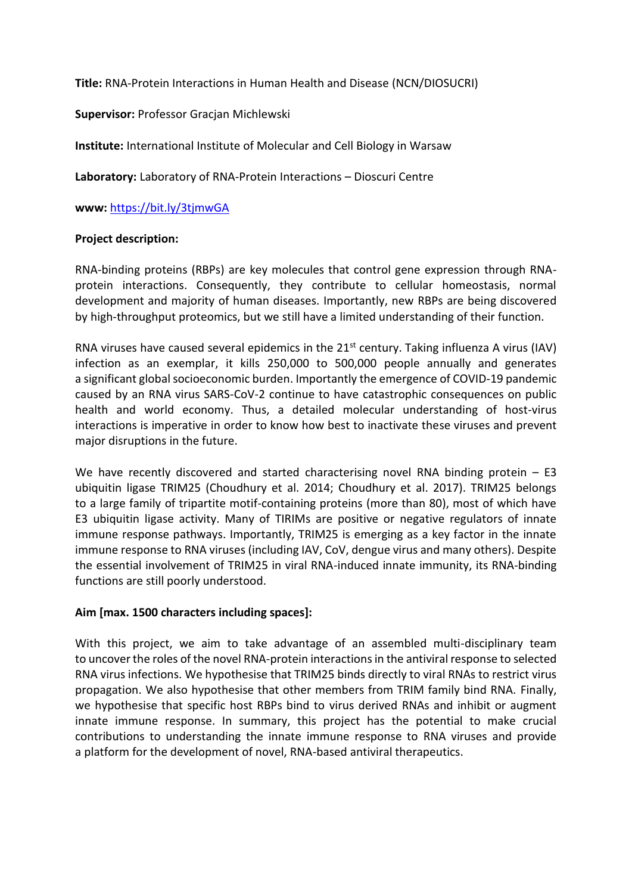**Title:** RNA-Protein Interactions in Human Health and Disease (NCN/DIOSUCRI)

## **Supervisor:** Professor Gracjan Michlewski

**Institute:** International Institute of Molecular and Cell Biology in Warsaw

**Laboratory:** Laboratory of RNA-Protein Interactions – Dioscuri Centre

**www:** <https://bit.ly/3tjmwGA>

### **Project description:**

RNA-binding proteins (RBPs) are key molecules that control gene expression through RNAprotein interactions. Consequently, they contribute to cellular homeostasis, normal development and majority of human diseases. Importantly, new RBPs are being discovered by high-throughput proteomics, but we still have a limited understanding of their function.

RNA viruses have caused several epidemics in the  $21<sup>st</sup>$  century. Taking influenza A virus (IAV) infection as an exemplar, it kills 250,000 to 500,000 people annually and generates a significant global socioeconomic burden. Importantly the emergence of COVID-19 pandemic caused by an RNA virus SARS-CoV-2 continue to have catastrophic consequences on public health and world economy. Thus, a detailed molecular understanding of host-virus interactions is imperative in order to know how best to inactivate these viruses and prevent major disruptions in the future.

We have recently discovered and started characterising novel RNA binding protein – E3 ubiquitin ligase TRIM25 (Choudhury et al. 2014; Choudhury et al. 2017). TRIM25 belongs to a large family of tripartite motif-containing proteins (more than 80), most of which have E3 ubiquitin ligase activity. Many of TIRIMs are positive or negative regulators of innate immune response pathways. Importantly, TRIM25 is emerging as a key factor in the innate immune response to RNA viruses (including IAV, CoV, dengue virus and many others). Despite the essential involvement of TRIM25 in viral RNA-induced innate immunity, its RNA-binding functions are still poorly understood.

# **Aim [max. 1500 characters including spaces]:**

With this project, we aim to take advantage of an assembled multi-disciplinary team to uncover the roles of the novel RNA-protein interactions in the antiviral response to selected RNA virus infections. We hypothesise that TRIM25 binds directly to viral RNAs to restrict virus propagation. We also hypothesise that other members from TRIM family bind RNA. Finally, we hypothesise that specific host RBPs bind to virus derived RNAs and inhibit or augment innate immune response. In summary, this project has the potential to make crucial contributions to understanding the innate immune response to RNA viruses and provide a platform for the development of novel, RNA-based antiviral therapeutics.